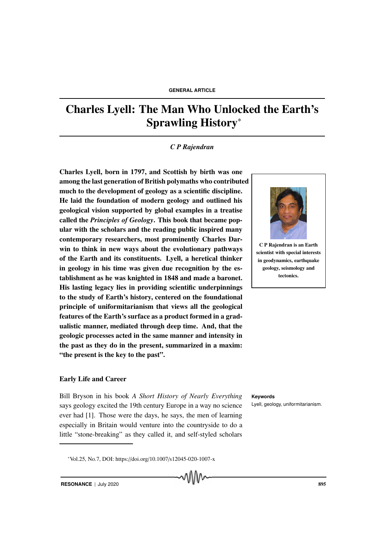# Charles Lyell: The Man Who Unlocked the Earth's Sprawling History<sup>∗</sup>

# *C P Rajendran*

Charles Lyell, born in 1797, and Scottish by birth was one among the last generation of British polymaths who contributed much to the development of geology as a scientific discipline. He laid the foundation of modern geology and outlined his geological vision supported by global examples in a treatise called the *Principles of Geology*. This book that became popular with the scholars and the reading public inspired many contemporary researchers, most prominently Charles Darwin to think in new ways about the evolutionary pathways of the Earth and its constituents. Lyell, a heretical thinker in geology in his time was given due recognition by the establishment as he was knighted in 1848 and made a baronet. His lasting legacy lies in providing scientific underpinnings to the study of Earth's history, centered on the foundational principle of uniformitarianism that views all the geological features of the Earth's surface as a product formed in a gradualistic manner, mediated through deep time. And, that the geologic processes acted in the same manner and intensity in the past as they do in the present, summarized in a maxim: "the present is the key to the past".

# Early Life and Career

Bill Bryson in his book *A Short History of Nearly Everything* **Keywords** says geology excited the 19th century Europe in a way no science Lyell, geology, uniformitarianism. ever had [1]. Those were the days, he says, the men of learning especially in Britain would venture into the countryside to do a little "stone-breaking" as they called it, and self-styled scholars



C P Rajendran is an Earth scientist with special interests in geodynamics, earthquake geology, seismology and tectonics.

<sup>∗</sup>Vol.25, No.7, DOI: https://doi.org/10.1007/s12045-020-1007-x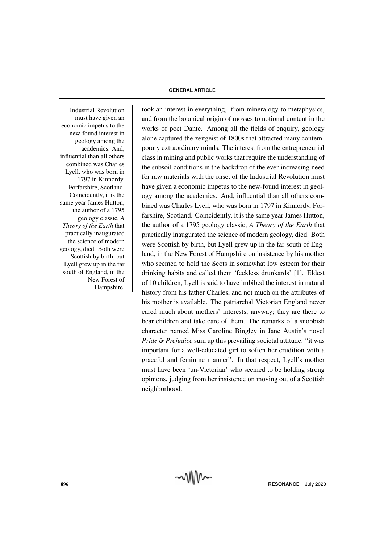must have given an economic impetus to the new-found interest in geology among the academics. And, influential than all others combined was Charles Lyell, who was born in 1797 in Kinnordy, Forfarshire, Scotland. Coincidently, it is the same year James Hutton, the author of a 1795 geology classic, *A Theory of the Earth* that practically inaugurated the science of modern geology, died. Both were Scottish by birth, but Lyell grew up in the far south of England, in the New Forest of Hampshire.

Industrial Revolution took an interest in everything, from mineralogy to metaphysics, and from the botanical origin of mosses to notional content in the works of poet Dante. Among all the fields of enquiry, geology alone captured the zeitgeist of 1800s that attracted many contemporary extraordinary minds. The interest from the entrepreneurial class in mining and public works that require the understanding of the subsoil conditions in the backdrop of the ever-increasing need for raw materials with the onset of the Industrial Revolution must have given a economic impetus to the new-found interest in geology among the academics. And, influential than all others combined was Charles Lyell, who was born in 1797 in Kinnordy, Forfarshire, Scotland. Coincidently, it is the same year James Hutton, the author of a 1795 geology classic, *A Theory of the Earth* that practically inaugurated the science of modern geology, died. Both were Scottish by birth, but Lyell grew up in the far south of England, in the New Forest of Hampshire on insistence by his mother who seemed to hold the Scots in somewhat low esteem for their drinking habits and called them 'feckless drunkards' [1]. Eldest of 10 children, Lyell is said to have imbibed the interest in natural history from his father Charles, and not much on the attributes of his mother is available. The patriarchal Victorian England never cared much about mothers' interests, anyway; they are there to bear children and take care of them. The remarks of a snobbish character named Miss Caroline Bingley in Jane Austin's novel *Pride* & *Prejudice* sum up this prevailing societal attitude: "it was important for a well-educated girl to soften her erudition with a graceful and feminine manner". In that respect, Lyell's mother must have been 'un-Victorian' who seemed to be holding strong opinions, judging from her insistence on moving out of a Scottish neighborhood.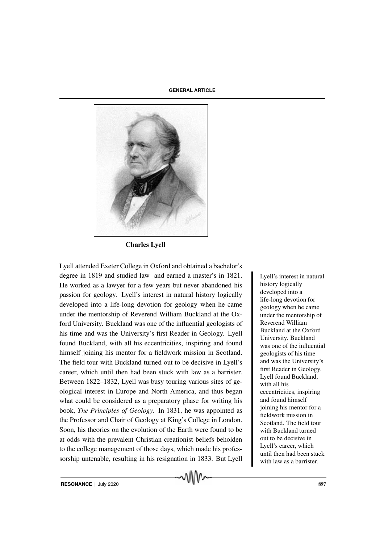

Charles Lyell

Lyell attended Exeter College in Oxford and obtained a bachelor's degree in 1819 and studied law and earned a master's in 1821. Lyell's interest in natural He worked as a lawyer for a few years but never abandoned his passion for geology. Lyell's interest in natural history logically developed into a life-long devotion for geology when he came under the mentorship of Reverend William Buckland at the Oxford University. Buckland was one of the influential geologists of his time and was the University's first Reader in Geology. Lyell found Buckland, with all his eccentricities, inspiring and found himself joining his mentor for a fieldwork mission in Scotland. The field tour with Buckland turned out to be decisive in Lyell's career, which until then had been stuck with law as a barrister. Between 1822–1832, Lyell was busy touring various sites of geological interest in Europe and North America, and thus began what could be considered as a preparatory phase for writing his book, *The Principles of Geology*. In 1831, he was appointed as the Professor and Chair of Geology at King's College in London. Soon, his theories on the evolution of the Earth were found to be at odds with the prevalent Christian creationist beliefs beholden to the college management of those days, which made his professorship untenable, resulting in his resignation in 1833. But Lyell

history logically developed into a life-long devotion for geology when he came under the mentorship of Reverend William Buckland at the Oxford University. Buckland was one of the influential geologists of his time and was the University's first Reader in Geology. Lyell found Buckland, with all his eccentricities, inspiring and found himself joining his mentor for a fieldwork mission in Scotland. The field tour with Buckland turned out to be decisive in Lyell's career, which until then had been stuck with law as a barrister.

**RESONANCE** | July 2020 897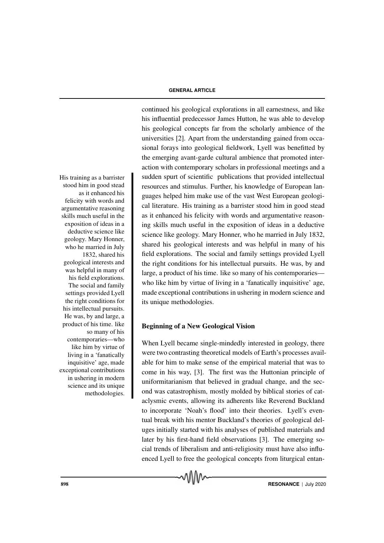continued his geological explorations in all earnestness, and like his influential predecessor James Hutton, he was able to develop his geological concepts far from the scholarly ambience of the universities [2]. Apart from the understanding gained from occasional forays into geological fieldwork, Lyell was benefitted by the emerging avant-garde cultural ambience that promoted interaction with contemporary scholars in professional meetings and a His training as a barrister sudden spurt of scientific publications that provided intellectual resources and stimulus. Further, his knowledge of European languages helped him make use of the vast West European geological literature. His training as a barrister stood him in good stead as it enhanced his felicity with words and argumentative reasoning skills much useful in the exposition of ideas in a deductive science like geology. Mary Honner, who he married in July 1832, shared his geological interests and was helpful in many of his field explorations. The social and family settings provided Lyell the right conditions for his intellectual pursuits. He was, by and large, a product of his time. like so many of his contemporaries who like him by virtue of living in a 'fanatically inquisitive' age, made exceptional contributions in ushering in modern science and its unique methodologies.

# Beginning of a New Geological Vision

When Lyell became single-mindedly interested in geology, there were two contrasting theoretical models of Earth's processes available for him to make sense of the empirical material that was to come in his way, [3]. The first was the Huttonian principle of uniformitarianism that believed in gradual change, and the second was catastrophism, mostly molded by biblical stories of cataclysmic events, allowing its adherents like Reverend Buckland to incorporate 'Noah's flood' into their theories. Lyell's eventual break with his mentor Buckland's theories of geological deluges initially started with his analyses of published materials and later by his first-hand field observations [3]. The emerging social trends of liberalism and anti-religiosity must have also influenced Lyell to free the geological concepts from liturgical entan-

stood him in good stead as it enhanced his felicity with words and argumentative reasoning skills much useful in the exposition of ideas in a deductive science like geology. Mary Honner, who he married in July 1832, shared his geological interests and was helpful in many of his field explorations. The social and family settings provided Lyell the right conditions for his intellectual pursuits. He was, by and large, a product of his time. like so many of his contemporaries—who like him by virtue of living in a 'fanatically inquisitive' age, made exceptional contributions in ushering in modern science and its unique methodologies.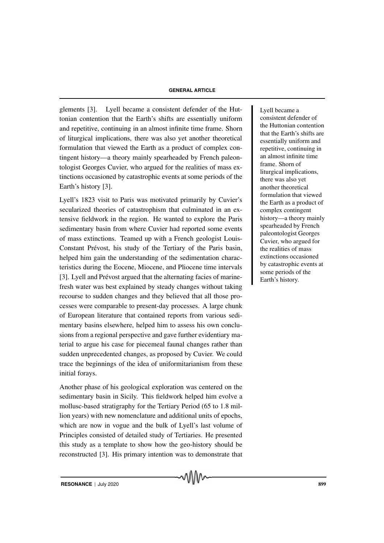glements [3]. Lyell became a Lyell became a consistent defender of the Huttonian contention that the Earth's shifts are essentially uniform and repetitive, continuing in an almost infinite time frame. Shorn of liturgical implications, there was also yet another theoretical formulation that viewed the Earth as a product of complex contingent history—a theory mainly spearheaded by French paleontologist Georges Cuvier, who argued for the realities of mass extinctions occasioned by catastrophic events at some periods of the Earth's history [3].

Lyell's 1823 visit to Paris was motivated primarily by Cuvier's secularized theories of catastrophism that culminated in an extensive fieldwork in the region. He wanted to explore the Paris sedimentary basin from where Cuvier had reported some events of mass extinctions. Teamed up with a French geologist Louis-Constant Prévost, his study of the Tertiary of the Paris basin, helped him gain the understanding of the sedimentation characteristics during the Eocene, Miocene, and Pliocene time intervals [3]. Lyell and Prévost argued that the alternating facies of marinefresh water was best explained by steady changes without taking recourse to sudden changes and they believed that all those processes were comparable to present-day processes. A large chunk of European literature that contained reports from various sedimentary basins elsewhere, helped him to assess his own conclusions from a regional perspective and gave further evidentiary material to argue his case for piecemeal faunal changes rather than sudden unprecedented changes, as proposed by Cuvier. We could trace the beginnings of the idea of uniformitarianism from these initial forays.

Another phase of his geological exploration was centered on the sedimentary basin in Sicily. This fieldwork helped him evolve a mollusc-based stratigraphy for the Tertiary Period (65 to 1.8 million years) with new nomenclature and additional units of epochs, which are now in vogue and the bulk of Lyell's last volume of Principles consisted of detailed study of Tertiaries. He presented this study as a template to show how the geo-history should be reconstructed [3]. His primary intention was to demonstrate that

√∖ใ∖ใ∿

consistent defender of the Huttonian contention that the Earth's shifts are essentially uniform and repetitive, continuing in an almost infinite time frame. Shorn of liturgical implications, there was also yet another theoretical formulation that viewed the Earth as a product of complex contingent history—a theory mainly spearheaded by French paleontologist Georges Cuvier, who argued for the realities of mass extinctions occasioned by catastrophic events at some periods of the Earth's history.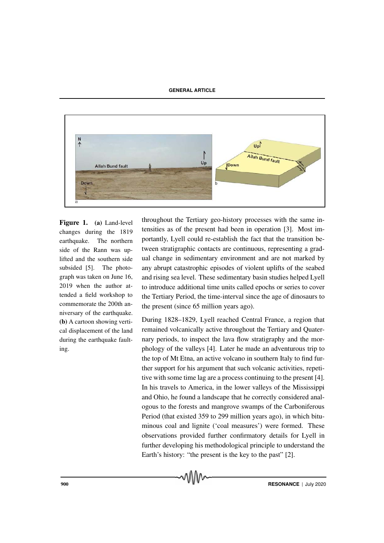

Figure 1. (a) Land-level changes during the 1819 earthquake. The northern side of the Rann was uplifted and the southern side subsided [5]. The photograph was taken on June 16, 2019 when the author attended a field workshop to commemorate the 200th anniversary of the earthquake. (b) A cartoon showing vertical displacement of the land during the earthquake faulting.

throughout the Tertiary geo-history processes with the same intensities as of the present had been in operation [3]. Most importantly, Lyell could re-establish the fact that the transition between stratigraphic contacts are continuous, representing a gradual change in sedimentary environment and are not marked by any abrupt catastrophic episodes of violent uplifts of the seabed and rising sea level. These sedimentary basin studies helped Lyell to introduce additional time units called epochs or series to cover the Tertiary Period, the time-interval since the age of dinosaurs to the present (since 65 million years ago).

During 1828–1829, Lyell reached Central France, a region that remained volcanically active throughout the Tertiary and Quaternary periods, to inspect the lava flow stratigraphy and the morphology of the valleys [4]. Later he made an adventurous trip to the top of Mt Etna, an active volcano in southern Italy to find further support for his argument that such volcanic activities, repetitive with some time lag are a process continuing to the present [4]. In his travels to America, in the lower valleys of the Mississippi and Ohio, he found a landscape that he correctly considered analogous to the forests and mangrove swamps of the Carboniferous Period (that existed 359 to 299 million years ago), in which bituminous coal and lignite ('coal measures') were formed. These observations provided further confirmatory details for Lyell in further developing his methodological principle to understand the Earth's history: "the present is the key to the past" [2].

MMW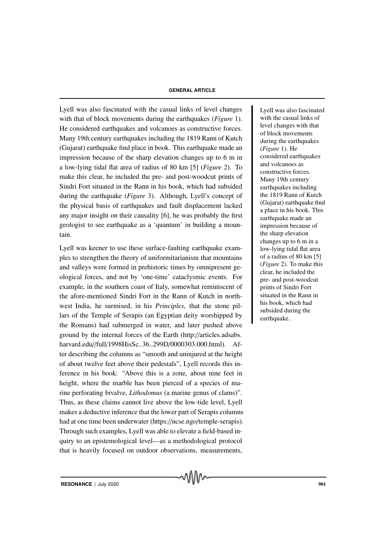Lyell was also fascinated with the casual links of level changes Lyell was also fascinated with that of block movements during the earthquakes (*Figure* 1). He considered earthquakes and volcanoes as constructive forces. Many 19th century earthquakes including the 1819 Rann of Kutch (Gujarat) earthquake find place in book. This earthquake made an impression because of the sharp elevation changes up to 6 m in a low-lying tidal flat area of radius of 80 km [5] (*Figure* 2). To make this clear, he included the pre- and post-woodcut prints of Sindri Fort situated in the Rann in his book, which had subsided during the earthquake (*Figure* 3). Although, Lyell's concept of the physical basis of earthquakes and fault displacement lacked any major insight on their causality [6], he was probably the first geologist to see earthquake as a 'quantum' in building a mountain.

Lyell was keener to use these surface-faulting earthquake examples to strengthen the theory of uniformitarianism that mountains and valleys were formed in prehistoric times by omnipresent geological forces, and not by 'one-time' cataclysmic events. For example, in the southern coast of Italy, somewhat reminiscent of the afore-mentioned Sindri Fort in the Rann of Kutch in northwest India, he surmised, in his *Principles*, that the stone pillars of the Temple of Serapis (an Egyptian deity worshipped by the Romans) had submerged in water, and later pushed above ground by the internal forces of the Earth (http://articles.adsabs. harvard.edu//full/1998HisSc..36..299D/0000303.000.html). After describing the columns as "smooth and uninjured at the height of about twelve feet above their pedestals", Lyell records this inference in his book: "Above this is a zone, about nine feet in height, where the marble has been pierced of a species of marine perforating bivalve, *Lithodomus* (a marine genus of clams)". Thus, as these claims cannot live above the low-tide level, Lyell makes a deductive inference that the lower part of Serapis columns had at one time been underwater (https://ncse.ngo/temple-serapis). Through such examples, Lyell was able to elevate a field-based inquiry to an epistemological level—as a methodological protocol that is heavily focused on outdoor observations, measurements,

√∖\\\∧

with the casual links of level changes with that of block movements during the earthquakes (*Figure* 1). He considered earthquakes and volcanoes as constructive forces. Many 19th century earthquakes including the 1819 Rann of Kutch (Gujarat) earthquake find a place in his book. This earthquake made an impression because of the sharp elevation changes up to 6 m in a low-lying tidal flat area of a radius of 80 km [5] (*Figure* 2). To make this clear, he included the pre- and post-woodcut prints of Sindri Fort situated in the Rann in his book, which had subsided during the earthquake.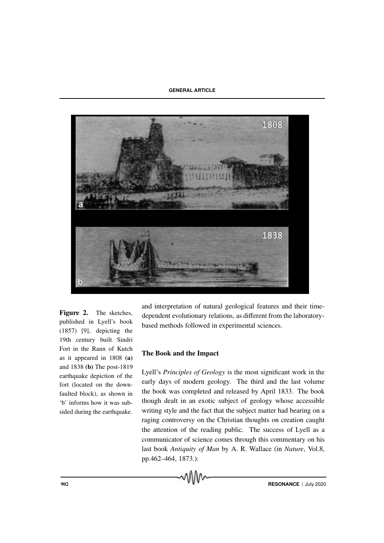

Figure 2. The sketches, published in Lyell's book (1857) [9], depicting the 19th century built Sindri Fort in the Rann of Kutch as it appeared in 1808 (a) and 1838 (b) The post-1819 earthquake depiction of the fort (located on the downfaulted block), as shown in 'b' informs how it was subsided during the earthquake. and interpretation of natural geological features and their timedependent evolutionary relations, as different from the laboratorybased methods followed in experimental sciences.

# The Book and the Impact

Lyell's *Principles of Geology* is the most significant work in the early days of modern geology. The third and the last volume the book was completed and released by April 1833. The book though dealt in an exotic subject of geology whose accessible writing style and the fact that the subject matter had bearing on a raging controversy on the Christian thoughts on creation caught the attention of the reading public. The success of Lyell as a communicator of science comes through this commentary on his last book *Antiquity of Man* by A. R. Wallace (in *Nature*, Vol.8, pp.462–464, 1873.):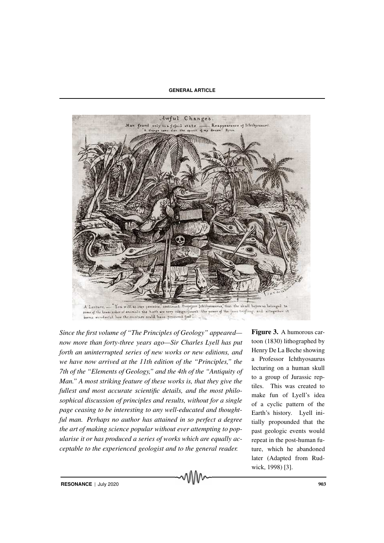

*Since the first volume of "The Principles of Geology" appeared now more than forty-three years ago—Sir Charles Lyell has put forth an uninterrupted series of new works or new editions, and we have now arrived at the 11th edition of the "Principles," the 7th of the "Elements of Geology," and the 4th of the "Antiquity of Man." A most striking feature of these works is, that they give the fullest and most accurate scientific details, and the most philosophical discussion of principles and results, without for a single page ceasing to be interesting to any well-educated and thoughtful man. Perhaps no author has attained in so perfect a degree the art of making science popular without ever attempting to popularise it or has produced a series of works which are equally acceptable to the experienced geologist and to the general reader.*

Figure 3. A humorous cartoon (1830) lithographed by Henry De La Beche showing a Professor Ichthyosaurus lecturing on a human skull to a group of Jurassic reptiles. This was created to make fun of Lyell's idea of a cyclic pattern of the Earth's history. Lyell initially propounded that the past geologic events would repeat in the post-human future, which he abandoned later (Adapted from Rudwick, 1998) [3].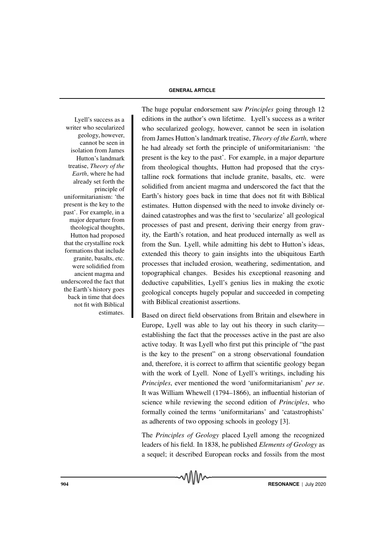writer who secularized geology, however, cannot be seen in isolation from James Hutton's landmark treatise, *Theory of the Earth*, where he had already set forth the principle of uniformitarianism: 'the present is the key to the past'. For example, in a major departure from theological thoughts, Hutton had proposed that the crystalline rock formations that include granite, basalts, etc. were solidified from ancient magma and underscored the fact that the Earth's history goes back in time that does not fit with Biblical estimates.

The huge popular endorsement saw *Principles* going through 12 Lyell's success as a editions in the author's own lifetime. Lyell's success as a writer who secularized geology, however, cannot be seen in isolation from James Hutton's landmark treatise, *Theory of the Earth*, where he had already set forth the principle of uniformitarianism: 'the present is the key to the past'. For example, in a major departure from theological thoughts, Hutton had proposed that the crystalline rock formations that include granite, basalts, etc. were solidified from ancient magma and underscored the fact that the Earth's history goes back in time that does not fit with Biblical estimates. Hutton dispensed with the need to invoke divinely ordained catastrophes and was the first to 'secularize' all geological processes of past and present, deriving their energy from gravity, the Earth's rotation, and heat produced internally as well as from the Sun. Lyell, while admitting his debt to Hutton's ideas, extended this theory to gain insights into the ubiquitous Earth processes that included erosion, weathering, sedimentation, and topographical changes. Besides his exceptional reasoning and deductive capabilities, Lyell's genius lies in making the exotic geological concepts hugely popular and succeeded in competing with Biblical creationist assertions.

> Based on direct field observations from Britain and elsewhere in Europe, Lyell was able to lay out his theory in such clarity establishing the fact that the processes active in the past are also active today. It was Lyell who first put this principle of "the past is the key to the present" on a strong observational foundation and, therefore, it is correct to affirm that scientific geology began with the work of Lyell. None of Lyell's writings, including his *Principles*, ever mentioned the word 'uniformitarianism' *per se*. It was William Whewell (1794–1866), an influential historian of science while reviewing the second edition of *Principles*, who formally coined the terms 'uniformitarians' and 'catastrophists' as adherents of two opposing schools in geology [3].

> The *Principles of Geology* placed Lyell among the recognized leaders of his field. In 1838, he published *Elements of Geology* as a sequel; it described European rocks and fossils from the most

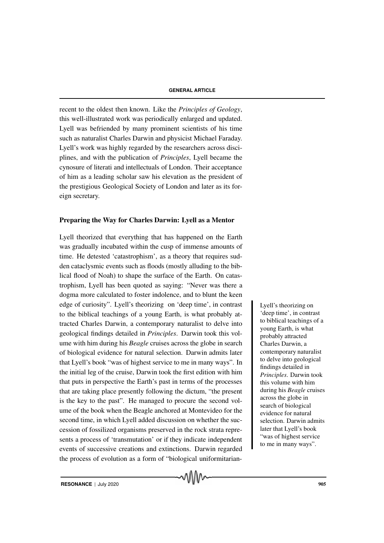recent to the oldest then known. Like the *Principles of Geology*, this well-illustrated work was periodically enlarged and updated. Lyell was befriended by many prominent scientists of his time such as naturalist Charles Darwin and physicist Michael Faraday. Lyell's work was highly regarded by the researchers across disciplines, and with the publication of *Principles*, Lyell became the cynosure of literati and intellectuals of London. Their acceptance of him as a leading scholar saw his elevation as the president of the prestigious Geological Society of London and later as its foreign secretary.

# Preparing the Way for Charles Darwin: Lyell as a Mentor

Lyell theorized that everything that has happened on the Earth was gradually incubated within the cusp of immense amounts of time. He detested 'catastrophism', as a theory that requires sudden cataclysmic events such as floods (mostly alluding to the biblical flood of Noah) to shape the surface of the Earth. On catastrophism, Lyell has been quoted as saying: "Never was there a dogma more calculated to foster indolence, and to blunt the keen edge of curiosity". Lyell's theorizing on 'deep time', in contrast Lyell's theorizing on to the biblical teachings of a young Earth, is what probably attracted Charles Darwin, a contemporary naturalist to delve into geological findings detailed in *Principles*. Darwin took this volume with him during his *Beagle* cruises across the globe in search of biological evidence for natural selection. Darwin admits later that Lyell's book "was of highest service to me in many ways". In the initial leg of the cruise, Darwin took the first edition with him that puts in perspective the Earth's past in terms of the processes that are taking place presently following the dictum, "the present is the key to the past". He managed to procure the second volume of the book when the Beagle anchored at Montevideo for the second time, in which Lyell added discussion on whether the succession of fossilized organisms preserved in the rock strata represents a process of 'transmutation' or if they indicate independent events of successive creations and extinctions. Darwin regarded the process of evolution as a form of "biological uniformitarian-

vWW

'deep time', in contrast to biblical teachings of a young Earth, is what probably attracted Charles Darwin, a contemporary naturalist to delve into geological findings detailed in *Principles*. Darwin took this volume with him during his *Beagle* cruises across the globe in search of biological evidence for natural selection. Darwin admits later that Lyell's book "was of highest service to me in many ways".

**RESONANCE** | July 2020 905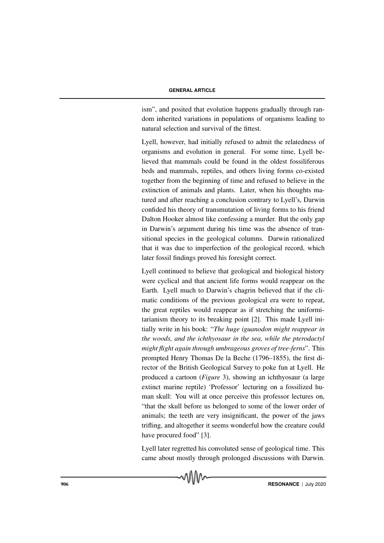ism", and posited that evolution happens gradually through random inherited variations in populations of organisms leading to natural selection and survival of the fittest.

Lyell, however, had initially refused to admit the relatedness of organisms and evolution in general. For some time, Lyell believed that mammals could be found in the oldest fossiliferous beds and mammals, reptiles, and others living forms co-existed together from the beginning of time and refused to believe in the extinction of animals and plants. Later, when his thoughts matured and after reaching a conclusion contrary to Lyell's, Darwin confided his theory of transmutation of living forms to his friend Dalton Hooker almost like confessing a murder. But the only gap in Darwin's argument during his time was the absence of transitional species in the geological columns. Darwin rationalized that it was due to imperfection of the geological record, which later fossil findings proved his foresight correct.

Lyell continued to believe that geological and biological history were cyclical and that ancient life forms would reappear on the Earth. Lyell much to Darwin's chagrin believed that if the climatic conditions of the previous geological era were to repeat, the great reptiles would reappear as if stretching the uniformitarianism theory to its breaking point [2]. This made Lyell initially write in his book: "*The huge iguanodon might reappear in the woods, and the ichthyosaur in the sea, while the pterodactyl might flight again through umbrageous groves of tree-ferns*". This prompted Henry Thomas De la Beche (1796–1855), the first director of the British Geological Survey to poke fun at Lyell. He produced a cartoon (*Figure* 3), showing an ichthyosaur (a large extinct marine reptile) 'Professor' lecturing on a fossilized human skull: You will at once perceive this professor lectures on, "that the skull before us belonged to some of the lower order of animals; the teeth are very insignificant, the power of the jaws trifling, and altogether it seems wonderful how the creature could have procured food" [3].

Lyell later regretted his convoluted sense of geological time. This came about mostly through prolonged discussions with Darwin.

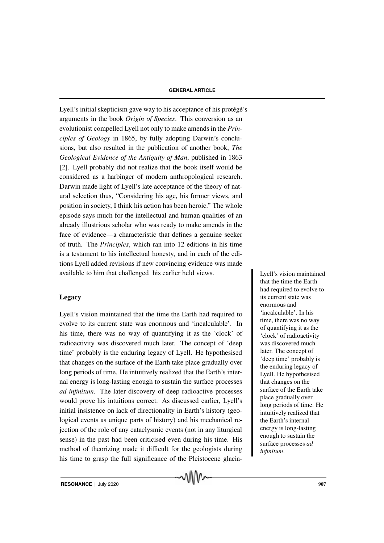Lyell's initial skepticism gave way to his acceptance of his protégé's arguments in the book *Origin of Species*. This conversion as an evolutionist compelled Lyell not only to make amends in the *Principles of Geology* in 1865, by fully adopting Darwin's conclusions, but also resulted in the publication of another book, *The Geological Evidence of the Antiquity of Man*, published in 1863 [2]. Lyell probably did not realize that the book itself would be considered as a harbinger of modern anthropological research. Darwin made light of Lyell's late acceptance of the theory of natural selection thus, "Considering his age, his former views, and position in society, I think his action has been heroic." The whole episode says much for the intellectual and human qualities of an already illustrious scholar who was ready to make amends in the face of evidence—a characteristic that defines a genuine seeker of truth. The *Principles*, which ran into 12 editions in his time is a testament to his intellectual honesty, and in each of the editions Lyell added revisions if new convincing evidence was made available to him that challenged his earlier held views. Lyell's vision maintained

# Legacy

Lyell's vision maintained that the time the Earth had required to evolve to its current state was enormous and 'incalculable'. In his time, there was no way of quantifying it as the 'clock' of radioactivity was discovered much later. The concept of 'deep time' probably is the enduring legacy of Lyell. He hypothesised that changes on the surface of the Earth take place gradually over long periods of time. He intuitively realized that the Earth's internal energy is long-lasting enough to sustain the surface processes *ad infinitum*. The later discovery of deep radioactive processes would prove his intuitions correct. As discussed earlier, Lyell's initial insistence on lack of directionality in Earth's history (geological events as unique parts of history) and his mechanical rejection of the role of any cataclysmic events (not in any liturgical sense) in the past had been criticised even during his time. His method of theorizing made it difficult for the geologists during his time to grasp the full significance of the Pleistocene glacia-

vww

that the time the Earth had required to evolve to its current state was enormous and 'incalculable'. In his time, there was no way of quantifying it as the 'clock' of radioactivity was discovered much later. The concept of 'deep time' probably is the enduring legacy of Lyell. He hypothesised that changes on the surface of the Earth take place gradually over long periods of time. He intuitively realized that the Earth's internal energy is long-lasting enough to sustain the surface processes *ad infinitum*.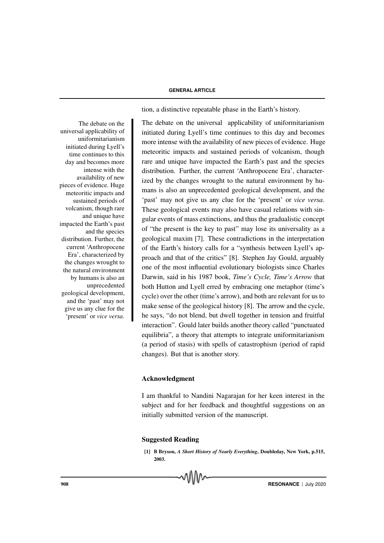universal applicability of uniformitarianism initiated during Lyell's time continues to this day and becomes more intense with the availability of new pieces of evidence. Huge meteoritic impacts and sustained periods of volcanism, though rare and unique have impacted the Earth's past and the species distribution. Further, the current 'Anthropocene Era', characterized by the changes wrought to the natural environment by humans is also an unprecedented geological development, and the 'past' may not give us any clue for the 'present' or *vice versa*.

tion, a distinctive repeatable phase in the Earth's history.

The debate on the The debate on the universal applicability of uniformitarianism initiated during Lyell's time continues to this day and becomes more intense with the availability of new pieces of evidence. Huge meteoritic impacts and sustained periods of volcanism, though rare and unique have impacted the Earth's past and the species distribution. Further, the current 'Anthropocene Era', characterized by the changes wrought to the natural environment by humans is also an unprecedented geological development, and the 'past' may not give us any clue for the 'present' or *vice versa*. These geological events may also have casual relations with singular events of mass extinctions, and thus the gradualistic concept of "the present is the key to past" may lose its universality as a geological maxim [7]. These contradictions in the interpretation of the Earth's history calls for a "synthesis between Lyell's approach and that of the critics" [8]. Stephen Jay Gould, arguably one of the most influential evolutionary biologists since Charles Darwin, said in his 1987 book, *Time's Cycle, Time's Arrow* that both Hutton and Lyell erred by embracing one metaphor (time's cycle) over the other (time's arrow), and both are relevant for us to make sense of the geological history [8]. The arrow and the cycle, he says, "do not blend, but dwell together in tension and fruitful interaction". Gould later builds another theory called "punctuated equilibria", a theory that attempts to integrate uniformitarianism (a period of stasis) with spells of catastrophism (period of rapid changes). But that is another story.

# Acknowledgment

I am thankful to Nandini Nagarajan for her keen interest in the subject and for her feedback and thoughtful suggestions on an initially submitted version of the manuscript.

### Suggested Reading

[1] B Bryson, *A Short History of Nearly Everything*, Doubleday, New York, p.515, 2003.